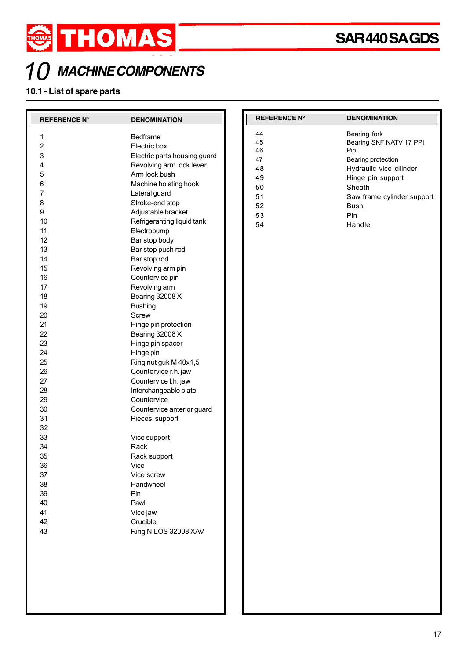

## **MACHINE COMPONENTS**

## **10.1 - List of spare parts**

| <b>REFERENCE N°</b>     | <b>DENOMINATION</b>          | <b>REFERENCE N°</b> | <b>DENOMINATION</b>            |
|-------------------------|------------------------------|---------------------|--------------------------------|
| 1                       | Bedframe                     | 44                  | Bearing fork                   |
| $\overline{\mathbf{c}}$ | Electric box                 | 45<br>46            | Bearing SKF NATV 17 PPI<br>Pin |
| 3                       | Electric parts housing guard | 47                  | Bearing protection             |
| 4                       | Revolving arm lock lever     | 48                  | Hydraulic vice cilinder        |
| 5                       | Arm lock bush                | 49                  | Hinge pin support              |
| 6                       | Machine hoisting hook        | 50                  | Sheath                         |
| 7                       | Lateral guard                | 51                  | Saw frame cylinder support     |
| 8                       | Stroke-end stop              | 52                  | <b>Bush</b>                    |
| 9                       | Adjustable bracket           | 53                  | Pin                            |
| 10                      | Refrigeranting liquid tank   | 54                  | Handle                         |
| 11                      | Electropump                  |                     |                                |
| 12                      | Bar stop body                |                     |                                |
| 13                      | Bar stop push rod            |                     |                                |
| 14                      | Bar stop rod                 |                     |                                |
| 15                      | Revolving arm pin            |                     |                                |
| 16                      | Countervice pin              |                     |                                |
| 17                      | Revolving arm                |                     |                                |
| 18                      | Bearing 32008 X              |                     |                                |
| 19                      | <b>Bushing</b>               |                     |                                |
| 20                      | Screw                        |                     |                                |
| 21                      | Hinge pin protection         |                     |                                |
| 22                      | Bearing 32008 X              |                     |                                |
| 23                      | Hinge pin spacer             |                     |                                |
| 24                      | Hinge pin                    |                     |                                |
| 25                      | Ring nut guk M 40x1,5        |                     |                                |
| 26                      | Countervice r.h. jaw         |                     |                                |
| 27                      | Countervice I.h. jaw         |                     |                                |
| 28                      | Interchangeable plate        |                     |                                |
| 29                      | Countervice                  |                     |                                |
| 30                      | Countervice anterior guard   |                     |                                |
| 31                      | Pieces support               |                     |                                |
| 32                      |                              |                     |                                |
| 33                      | Vice support                 |                     |                                |
| 34                      | Rack                         |                     |                                |
| 35                      | Rack support                 |                     |                                |
| 36                      | Vice                         |                     |                                |
| 37                      | Vice screw                   |                     |                                |
| 38                      | Handwheel                    |                     |                                |
| 39                      | Pin                          |                     |                                |
| 40                      | Pawl                         |                     |                                |
| 41                      | Vice jaw                     |                     |                                |
| 42                      | Crucible                     |                     |                                |
| 43                      | Ring NILOS 32008 XAV         |                     |                                |
|                         |                              |                     |                                |
|                         |                              |                     |                                |
|                         |                              |                     |                                |
|                         |                              |                     |                                |
|                         |                              |                     |                                |
|                         |                              |                     |                                |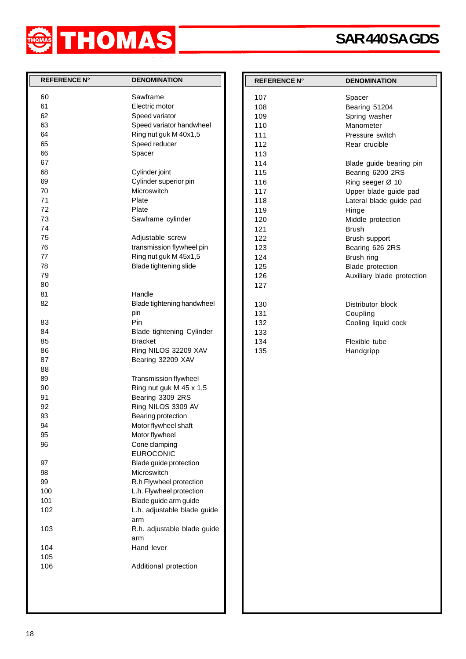

## **SAR 440 SA GDS**

| <b>REFERENCE N°</b> | <b>DENOMINATION</b>         | <b>REFERENCE N°</b> | <b>DENOMINATION</b>        |
|---------------------|-----------------------------|---------------------|----------------------------|
|                     |                             |                     |                            |
| 60                  | Sawframe                    | 107                 | Spacer                     |
| 61                  | Electric motor              | 108                 | Bearing 51204              |
| 62                  | Speed variator              | 109                 | Spring washer              |
| 63                  | Speed variator handwheel    | 110                 | Manometer                  |
| 64                  | Ring nut guk M 40x1,5       | 111                 | Pressure switch            |
| 65                  | Speed reducer               | 112                 | Rear crucible              |
| 66                  | Spacer                      | 113                 |                            |
| 67                  |                             | 114                 | Blade guide bearing pin    |
| 68                  | Cylinder joint              | 115                 | Bearing 6200 2RS           |
| 69                  | Cylinder superior pin       | 116                 | Ring seeger Ø 10           |
| 70                  | Microswitch                 | 117                 | Upper blade guide pad      |
| 71                  | Plate                       | 118                 | Lateral blade guide pad    |
| 72                  | Plate                       | 119                 | Hinge                      |
| 73                  | Sawframe cylinder           | 120                 | Middle protection          |
| 74                  |                             | 121                 | <b>Brush</b>               |
| 75                  | Adjustable screw            | 122                 | Brush support              |
| 76                  | transmission flywheel pin   | 123                 | Bearing 626 2RS            |
| 77                  | Ring nut guk M 45x1,5       | 124                 | Brush ring                 |
| 78                  | Blade tightening slide      | 125                 | Blade protection           |
| 79                  |                             | 126                 | Auxiliary blade protection |
| 80                  |                             | 127                 |                            |
| 81                  | Handle                      |                     |                            |
| 82                  | Blade tightening handwheel  | 130                 | Distributor block          |
|                     | pin                         | 131                 | Coupling                   |
| 83                  | Pin                         | 132                 | Cooling liquid cock        |
| 84                  | Blade tightening Cylinder   | 133                 |                            |
| 85                  | <b>Bracket</b>              | 134                 | Flexible tube              |
| 86                  | Ring NILOS 32209 XAV        | 135                 |                            |
| 87                  | Bearing 32209 XAV           |                     | Handgripp                  |
| 88                  |                             |                     |                            |
| 89                  |                             |                     |                            |
|                     | Transmission flywheel       |                     |                            |
| 90                  | Ring nut guk M 45 x 1,5     |                     |                            |
| 91                  | Bearing 3309 2RS            |                     |                            |
| 92                  | Ring NILOS 3309 AV          |                     |                            |
| 93                  | Bearing protection          |                     |                            |
| 94                  | Motor flywheel shaft        |                     |                            |
| 95                  | Motor flywheel              |                     |                            |
| 96                  | Cone clamping               |                     |                            |
|                     | <b>EUROCONIC</b>            |                     |                            |
| 97                  | Blade guide protection      |                     |                            |
| 98                  | Microswitch                 |                     |                            |
| 99                  | R.h Flywheel protection     |                     |                            |
| 100                 | L.h. Flywheel protection    |                     |                            |
| 101                 | Blade guide arm guide       |                     |                            |
| 102                 | L.h. adjustable blade guide |                     |                            |
|                     | arm                         |                     |                            |
| 103                 | R.h. adjustable blade guide |                     |                            |
|                     | arm                         |                     |                            |
| 104                 | Hand lever                  |                     |                            |
| 105                 |                             |                     |                            |
| 106                 | Additional protection       |                     |                            |
|                     |                             |                     |                            |
|                     |                             |                     |                            |
|                     |                             |                     |                            |
|                     |                             |                     |                            |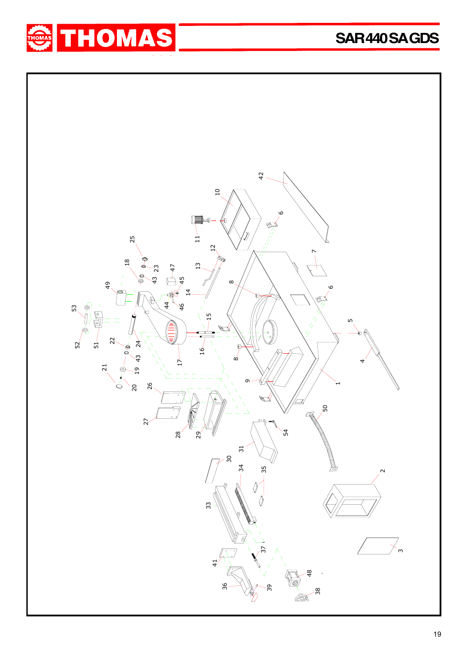

**SAR 440 SA GDS**

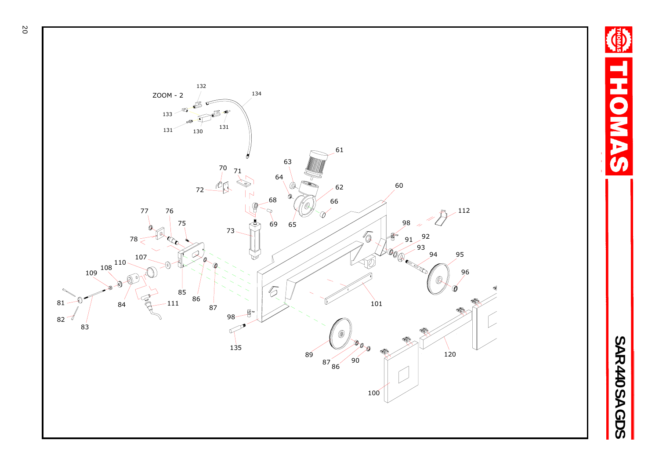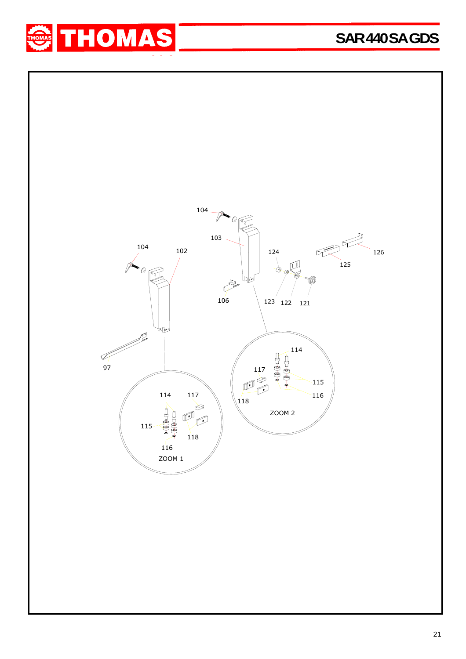